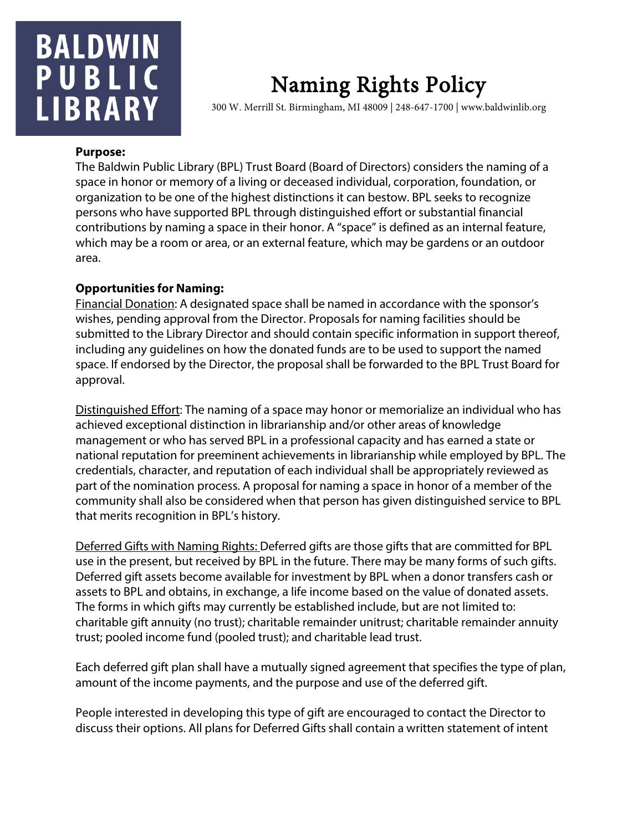## **BALDWIN** PUBLIC **LIBRARY**

# Naming Rights Policy<br>300 W. Merrill St. Birmingham, MI 48009 | 248-647-1700 | www.baldwinlib.org

#### **Purpose:**

The Baldwin Public Library (BPL) Trust Board (Board of Directors) considers the naming of a space in honor or memory of a living or deceased individual, corporation, foundation, or organization to be one of the highest distinctions it can bestow. BPL seeks to recognize persons who have supported BPL through distinguished effort or substantial financial contributions by naming a space in their honor. A "space" is defined as an internal feature, which may be a room or area, or an external feature, which may be gardens or an outdoor area.

#### **Opportunities for Naming:**

Financial Donation: A designated space shall be named in accordance with the sponsor's wishes, pending approval from the Director. Proposals for naming facilities should be submitted to the Library Director and should contain specific information in support thereof, including any guidelines on how the donated funds are to be used to support the named space. If endorsed by the Director, the proposal shall be forwarded to the BPL Trust Board for approval.

Distinguished Effort: The naming of a space may honor or memorialize an individual who has achieved exceptional distinction in librarianship and/or other areas of knowledge management or who has served BPL in a professional capacity and has earned a state or national reputation for preeminent achievements in librarianship while employed by BPL. The credentials, character, and reputation of each individual shall be appropriately reviewed as part of the nomination process. A proposal for naming a space in honor of a member of the community shall also be considered when that person has given distinguished service to BPL that merits recognition in BPL's history.

Deferred Gifts with Naming Rights: Deferred gifts are those gifts that are committed for BPL use in the present, but received by BPL in the future. There may be many forms of such gifts. Deferred gift assets become available for investment by BPL when a donor transfers cash or assets to BPL and obtains, in exchange, a life income based on the value of donated assets. The forms in which gifts may currently be established include, but are not limited to: charitable gift annuity (no trust); charitable remainder unitrust; charitable remainder annuity trust; pooled income fund (pooled trust); and charitable lead trust.

Each deferred gift plan shall have a mutually signed agreement that specifies the type of plan, amount of the income payments, and the purpose and use of the deferred gift.

People interested in developing this type of gift are encouraged to contact the Director to discuss their options. All plans for Deferred Gifts shall contain a written statement of intent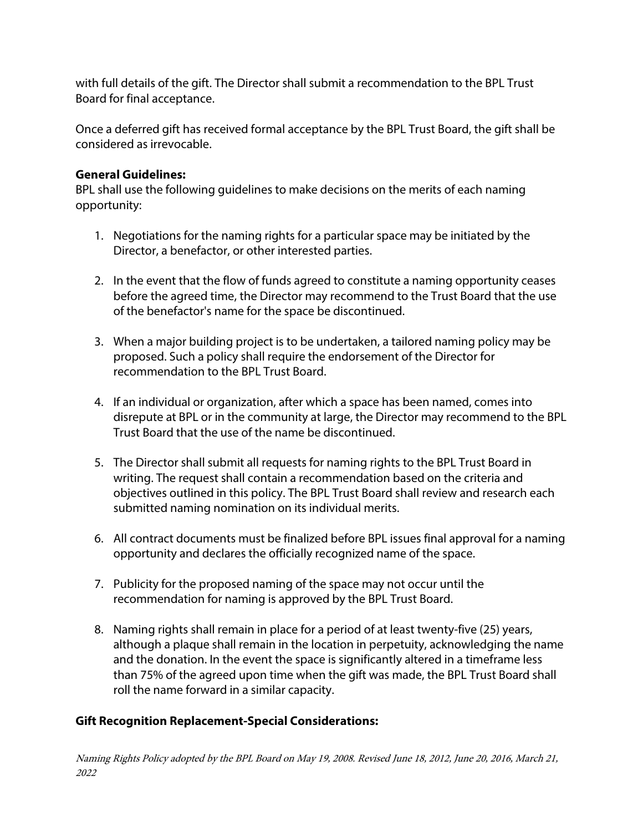with full details of the gift. The Director shall submit a recommendation to the BPL Trust Board for final acceptance.

Once a deferred gift has received formal acceptance by the BPL Trust Board, the gift shall be considered as irrevocable.

#### **General Guidelines:**

BPL shall use the following guidelines to make decisions on the merits of each naming opportunity:

- 1. Negotiations for the naming rights for a particular space may be initiated by the Director, a benefactor, or other interested parties.
- 2. In the event that the flow of funds agreed to constitute a naming opportunity ceases before the agreed time, the Director may recommend to the Trust Board that the use of the benefactor's name for the space be discontinued.
- 3. When a major building project is to be undertaken, a tailored naming policy may be proposed. Such a policy shall require the endorsement of the Director for recommendation to the BPL Trust Board.
- 4. If an individual or organization, after which a space has been named, comes into disrepute at BPL or in the community at large, the Director may recommend to the BPL Trust Board that the use of the name be discontinued.
- 5. The Director shall submit all requests for naming rights to the BPL Trust Board in writing. The request shall contain a recommendation based on the criteria and objectives outlined in this policy. The BPL Trust Board shall review and research each submitted naming nomination on its individual merits.
- 6. All contract documents must be finalized before BPL issues final approval for a naming opportunity and declares the officially recognized name of the space.
- 7. Publicity for the proposed naming of the space may not occur until the recommendation for naming is approved by the BPL Trust Board.
- 8. Naming rights shall remain in place for a period of at least twenty-five (25) years, although a plaque shall remain in the location in perpetuity, acknowledging the name and the donation. In the event the space is significantly altered in a timeframe less than 75% of the agreed upon time when the gift was made, the BPL Trust Board shall roll the name forward in a similar capacity.

### **Gift Recognition Replacement-Special Considerations:**

Naming Rights Policy adopted by the BPL Board on May 19, 2008. Revised June 18, 2012, June 20, 2016, March 21, 2022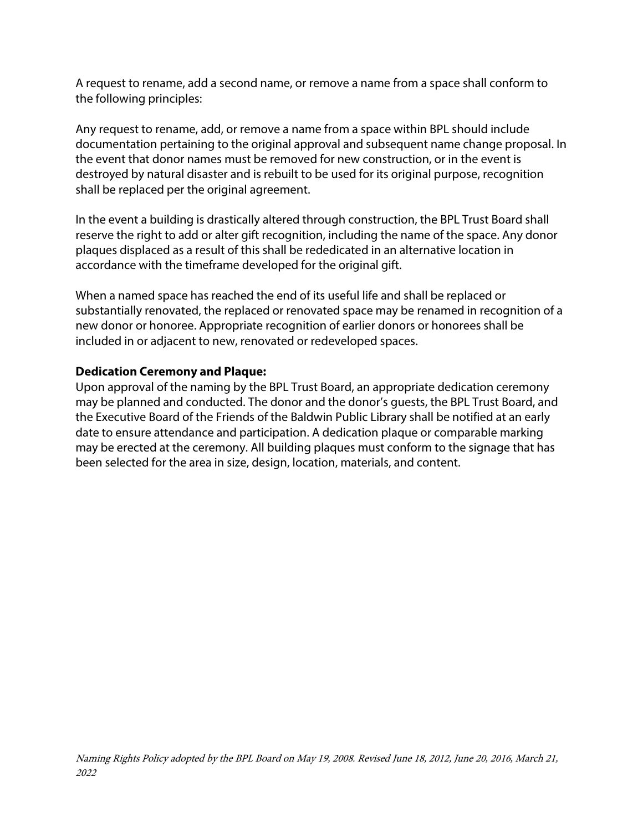A request to rename, add a second name, or remove a name from a space shall conform to the following principles:

Any request to rename, add, or remove a name from a space within BPL should include documentation pertaining to the original approval and subsequent name change proposal. In the event that donor names must be removed for new construction, or in the event is destroyed by natural disaster and is rebuilt to be used for its original purpose, recognition shall be replaced per the original agreement.

In the event a building is drastically altered through construction, the BPL Trust Board shall reserve the right to add or alter gift recognition, including the name of the space. Any donor plaques displaced as a result of this shall be rededicated in an alternative location in accordance with the timeframe developed for the original gift.

When a named space has reached the end of its useful life and shall be replaced or substantially renovated, the replaced or renovated space may be renamed in recognition of a new donor or honoree. Appropriate recognition of earlier donors or honorees shall be included in or adjacent to new, renovated or redeveloped spaces.

### **Dedication Ceremony and Plaque:**

Upon approval of the naming by the BPL Trust Board, an appropriate dedication ceremony may be planned and conducted. The donor and the donor's guests, the BPL Trust Board, and the Executive Board of the Friends of the Baldwin Public Library shall be notified at an early date to ensure attendance and participation. A dedication plaque or comparable marking may be erected at the ceremony. All building plaques must conform to the signage that has been selected for the area in size, design, location, materials, and content.